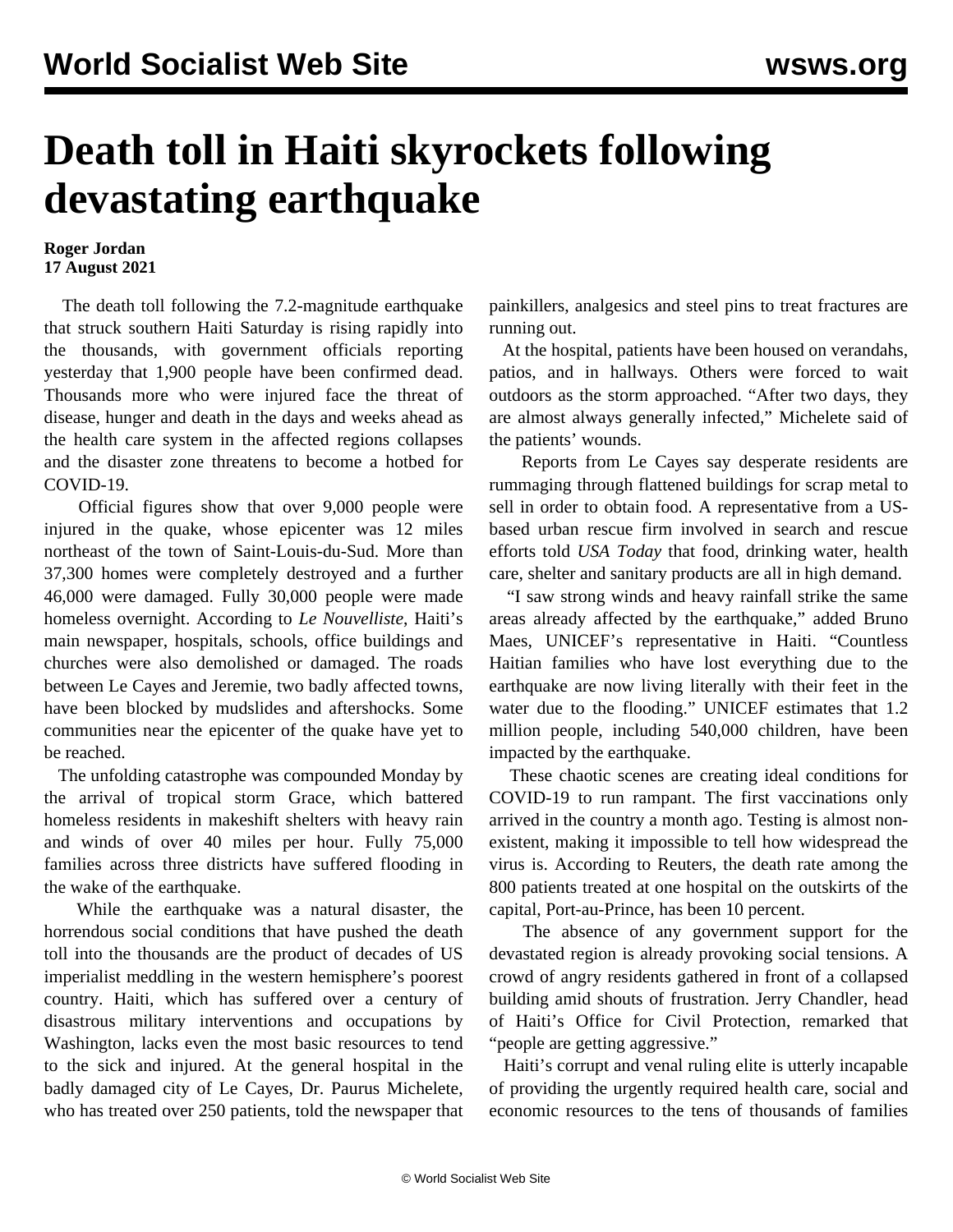## **Death toll in Haiti skyrockets following devastating earthquake**

## **Roger Jordan 17 August 2021**

 The death toll following the 7.2-magnitude earthquake that struck southern Haiti Saturday is rising rapidly into the thousands, with government officials reporting yesterday that 1,900 people have been confirmed dead. Thousands more who were injured face the threat of disease, hunger and death in the days and weeks ahead as the health care system in the affected regions collapses and the disaster zone threatens to become a hotbed for COVID-19.

 Official figures show that over 9,000 people were injured in the quake, whose epicenter was 12 miles northeast of the town of Saint-Louis-du-Sud. More than 37,300 homes were completely destroyed and a further 46,000 were damaged. Fully 30,000 people were made homeless overnight. According to *Le Nouvelliste*, Haiti's main newspaper, hospitals, schools, office buildings and churches were also demolished or damaged. The roads between Le Cayes and Jeremie, two badly affected towns, have been blocked by mudslides and aftershocks. Some communities near the epicenter of the quake have yet to be reached.

 The unfolding catastrophe was compounded Monday by the arrival of tropical storm Grace, which battered homeless residents in makeshift shelters with heavy rain and winds of over 40 miles per hour. Fully 75,000 families across three districts have suffered flooding in the wake of the earthquake.

 While the earthquake was a natural disaster, the horrendous social conditions that have pushed the death toll into the thousands are the product of decades of US imperialist meddling in the western hemisphere's poorest country. Haiti, which has suffered over a century of disastrous military interventions and occupations by Washington, lacks even the most basic resources to tend to the sick and injured. At the general hospital in the badly damaged city of Le Cayes, Dr. Paurus Michelete, who has treated over 250 patients, told the newspaper that

painkillers, analgesics and steel pins to treat fractures are running out.

 At the hospital, patients have been housed on verandahs, patios, and in hallways. Others were forced to wait outdoors as the storm approached. "After two days, they are almost always generally infected," Michelete said of the patients' wounds.

 Reports from Le Cayes say desperate residents are rummaging through flattened buildings for scrap metal to sell in order to obtain food. A representative from a USbased urban rescue firm involved in search and rescue efforts told *USA Today* that food, drinking water, health care, shelter and sanitary products are all in high demand.

 "I saw strong winds and heavy rainfall strike the same areas already affected by the earthquake," added Bruno Maes, UNICEF's representative in Haiti. "Countless Haitian families who have lost everything due to the earthquake are now living literally with their feet in the water due to the flooding." UNICEF estimates that 1.2 million people, including 540,000 children, have been impacted by the earthquake.

 These chaotic scenes are creating ideal conditions for COVID-19 to run rampant. The first vaccinations only arrived in the country a month ago. Testing is almost nonexistent, making it impossible to tell how widespread the virus is. According to Reuters, the death rate among the 800 patients treated at one hospital on the outskirts of the capital, Port-au-Prince, has been 10 percent.

 The absence of any government support for the devastated region is already provoking social tensions. A crowd of angry residents gathered in front of a collapsed building amid shouts of frustration. Jerry Chandler, head of Haiti's Office for Civil Protection, remarked that "people are getting aggressive."

 Haiti's corrupt and venal ruling elite is utterly incapable of providing the urgently required health care, social and economic resources to the tens of thousands of families